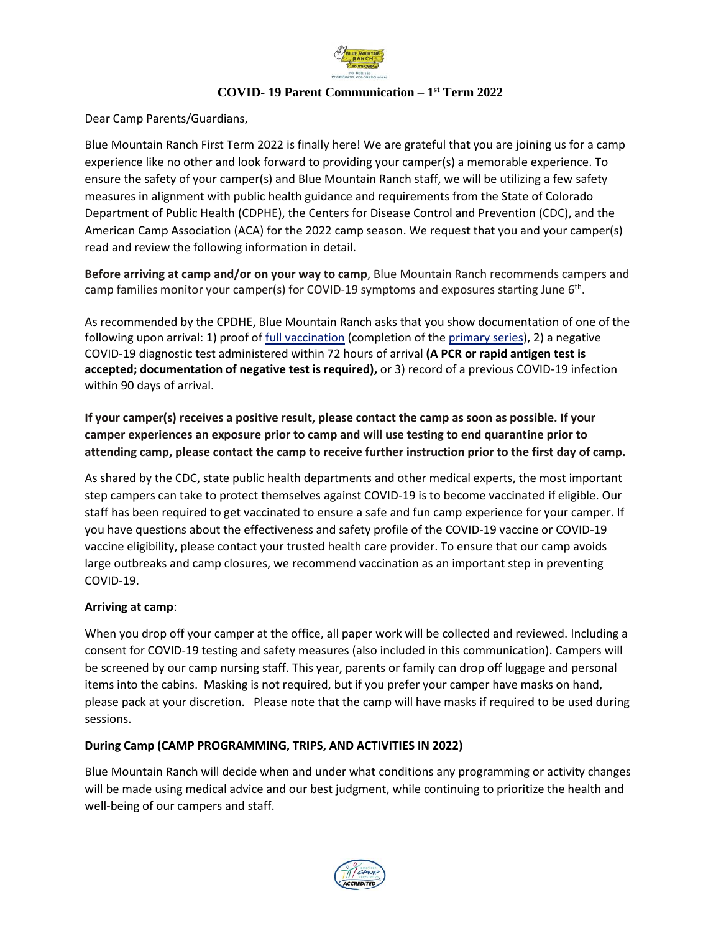

## **COVID- 19 Parent Communication – 1 st Term 2022**

Dear Camp Parents/Guardians,

Blue Mountain Ranch First Term 2022 is finally here! We are grateful that you are joining us for a camp experience like no other and look forward to providing your camper(s) a memorable experience. To ensure the safety of your camper(s) and Blue Mountain Ranch staff, we will be utilizing a few safety measures in alignment with public health guidance and requirements from the State of Colorado Department of Public Health (CDPHE), the Centers for Disease Control and Prevention (CDC), and the American Camp Association (ACA) for the 2022 camp season. We request that you and your camper(s) read and review the following information in detail.

**Before arriving at camp and/or on your way to camp**, Blue Mountain Ranch recommends campers and camp families monitor your camper(s) for COVID-19 symptoms and exposures starting June 6<sup>th</sup>.

As recommended by the CPDHE, Blue Mountain Ranch asks that you show documentation of one of the following upon arrival: 1) proof of [full vaccination](https://www.cdc.gov/coronavirus/2019-ncov/vaccines/faq.html) (completion of the [primary series\)](https://www.cdc.gov/coronavirus/2019-ncov/vaccines/stay-up-to-date.html#recommendations), 2) a negative COVID-19 diagnostic test administered within 72 hours of arrival **(A PCR or rapid antigen test is accepted; documentation of negative test is required),** or 3) record of a previous COVID-19 infection within 90 days of arrival.

**If your camper(s) receives a positive result, please contact the camp as soon as possible. If your camper experiences an exposure prior to camp and will use testing to end quarantine prior to attending camp, please contact the camp to receive further instruction prior to the first day of camp.** 

As shared by the CDC, state public health departments and other medical experts, the most important step campers can take to protect themselves against COVID-19 is to become vaccinated if eligible. Our staff has been required to get vaccinated to ensure a safe and fun camp experience for your camper. If you have questions about the effectiveness and safety profile of the COVID-19 vaccine or COVID-19 vaccine eligibility, please contact your trusted health care provider. To ensure that our camp avoids large outbreaks and camp closures, we recommend vaccination as an important step in preventing COVID-19.

## **Arriving at camp**:

When you drop off your camper at the office, all paper work will be collected and reviewed. Including a consent for COVID-19 testing and safety measures (also included in this communication). Campers will be screened by our camp nursing staff. This year, parents or family can drop off luggage and personal items into the cabins. Masking is not required, but if you prefer your camper have masks on hand, please pack at your discretion. Please note that the camp will have masks if required to be used during sessions.

## **During Camp (CAMP PROGRAMMING, TRIPS, AND ACTIVITIES IN 2022)**

Blue Mountain Ranch will decide when and under what conditions any programming or activity changes will be made using medical advice and our best judgment, while continuing to prioritize the health and well-being of our campers and staff.